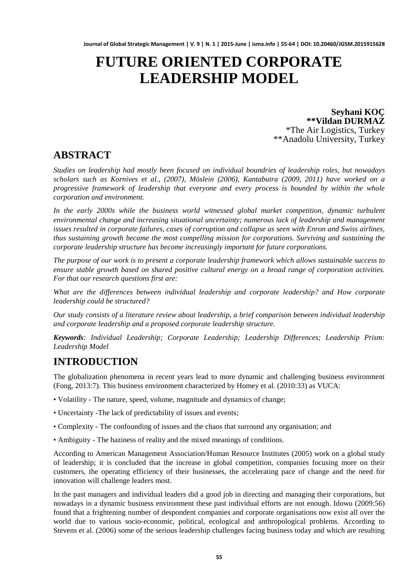# **FUTURE ORIENTED CORPORATE LEADERSHIP MODEL**

**Seyhani KOÇ \*\*Vildan DURMAZ** \*The Air Logistics, Turkey \*\*Anadolu University, Turkey

### **ABSTRACT**

*Studies on leadership had mostly been focused on individual boundries of leadership roles, but nowadays scholars such as Kornives et al., (2007), Möslein (2006), Kantabutra (2009, 2011) have worked on a progressive framework of leadership that everyone and every process is bounded by within the whole corporation and environment.* 

*In the early 2000s while the business world witnessed global market competition, dynamic turbulent environmental change and increasing situational uncertainty; numerous lack of leadership and management issues resulted in corporate failures, cases of corruption and collapse as seen with Enron and Swiss airlines, thus sustaining growth became the most compelling mission for corporations. Surviving and sustaining the corporate leadership structure has become increasingly important for future corporations.*

*The purpose of our work is to present a corporate leadership framework which allows sustainable success to ensure stable growth based on shared positive cultural energy on a broad range of corporation activities. For that our research questions first are:* 

*What are the differences between individual leadership and corporate leadership? and How corporate leadership could be structured?*

*Our study consists of a literature review about leadership, a brief comparison between individual leadership and corporate leadership and a proposed corporate leadership structure.*

*Keywords: Individual Leadership; Corporate Leadership; Leadership Differences; Leadership Prism: Leadership Model*

# **INTRODUCTION**

The globalization phenomena in recent years lead to more dynamic and challenging business environment (Fong, 2013:7). This business environment characterized by Homey et al. (2010:33) as VUCA:

- Volatility The nature, speed, volume, magnitude and dynamics of change;
- Uncertainty -The lack of predictability of issues and events;
- Complexity The confounding of issues and the chaos that surround any organisation; and
- Ambiguity The haziness of reality and the mixed meanings of conditions.

According to American Management Association/Human Resource Institutes (2005) work on a global study of leadership; it is concluded that the increase in global competition, companies focusing more on their customers, the operating efficiency of their businesses, the accelerating pace of change and the need for innovation will challenge leaders most.

In the past managers and individual leaders did a good job in directing and managing their corporations, but nowadays in a dynamic business environment these past individual efforts are not enough. Idowu (2009:56) found that a frightening number of despondent companies and corporate organisations now exist all over the world due to various socio-economic, political, ecological and anthropological problems. According to Stevens et al. (2006) some of the serious leadership challenges facing business today and which are resulting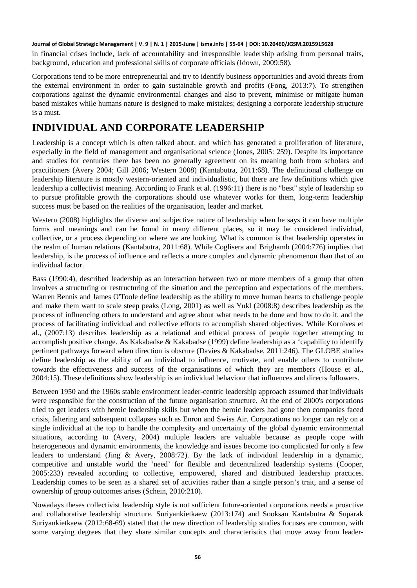in financial crises include, lack of accountability and irresponsible leadership arising from personal traits, background, education and professional skills of corporate officials (Idowu, 2009:58).

Corporations tend to be more entrepreneurial and try to identify business opportunities and avoid threats from the external environment in order to gain sustainable growth and profits (Fong, 2013:7). To strengthen corporations against the dynamic environmental changes and also to prevent, minimise or mitigate human based mistakes while humans nature is designed to make mistakes; designing a corporate leadership structure is a must.

### **INDIVIDUAL AND CORPORATE LEADERSHIP**

Leadership is a concept which is often talked about, and which has generated a proliferation of literature, especially in the field of management and organisational science (Jones, 2005: 259). Despite its importance and studies for centuries there has been no generally agreement on its meaning both from scholars and practitioners (Avery 2004; Gill 2006; Western 2008) (Kantabutra, 2011:68). The definitional challenge on leadership literature is mostly western-oriented and individualistic, but there are few definitions which give leadership a collectivist meaning. According to Frank et al. (1996:11) there is no "best" style of leadership so to pursue profitable growth the corporations should use whatever works for them, long-term leadership success must be based on the realities of the organisation, leader and market.

Western (2008) highlights the diverse and subjective nature of leadership when he says it can have multiple forms and meanings and can be found in many different places, so it may be considered individual, collective, or a process depending on where we are looking. What is common is that leadership operates in the realm of human relations (Kantabutra, 2011:68). While Coglisera and Brighamb (2004:776) implies that leadership, is the process of influence and reflects a more complex and dynamic phenomenon than that of an individual factor.

Bass (1990:4), described leadership as an interaction between two or more members of a group that often involves a structuring or restructuring of the situation and the perception and expectations of the members. Warren Bennis and James O'Toole define leadership as the ability to move human hearts to challenge people and make them want to scale steep peaks (Long, 2001) as well as Yukl (2008:8) describes leadership as the process of influencing others to understand and agree about what needs to be done and how to do it, and the process of facilitating individual and collective efforts to accomplish shared objectives. While Kornives et al., (2007:13) describes leadership as a relational and ethical process of people together attempting to accomplish positive change. As Kakabadse & Kakabadse (1999) define leadership as a 'capability to identify pertinent pathways forward when direction is obscure (Davies & Kakabadse, 2011:246). The GLOBE studies define leadership as the ability of an individual to influence, motivate, and enable others to contribute towards the effectiveness and success of the organisations of which they are members (House et al., 2004:15). These definitions show leadership is an individual behaviour that influences and directs followers.

Between 1950 and the 1960s stable environment leader-centric leadership approach assumed that individuals were responsible for the construction of the future organisation structure. At the end of 2000's corporations tried to get leaders with heroic leadership skills but when the heroic leaders had gone then companies faced crisis, faltering and subsequent collapses such as Enron and Swiss Air. Corporations no longer can rely on a single individual at the top to handle the complexity and uncertainty of the global dynamic environmental situations, according to (Avery, 2004) multiple leaders are valuable because as people cope with heterogeneous and dynamic environments, the knowledge and issues become too complicated for only a few leaders to understand (Jing & Avery, 2008:72). By the lack of individual leadership in a dynamic, competitive and unstable world the 'need' for flexible and decentralized leadership systems (Cooper, 2005:233) revealed according to collective, empowered, shared and distributed leadership practices. Leadership comes to be seen as a shared set of activities rather than a single person's trait, and a sense of ownership of group outcomes arises (Schein, 2010:210).

Nowadays theses collectivist leadership style is not sufficient future-oriented corporations needs a proactive and collaborative leadership structure. Suriyankietkaew (2013:174) and Sooksan Kantabutra & Suparak Suriyankietkaew (2012:68-69) stated that the new direction of leadership studies focuses are common, with some varying degrees that they share similar concepts and characteristics that move away from leader-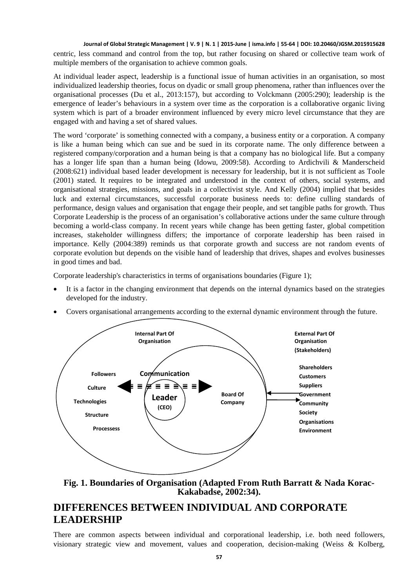centric, less command and control from the top, but rather focusing on shared or collective team work of multiple members of the organisation to achieve common goals.

At individual leader aspect, leadership is a functional issue of human activities in an organisation, so most individualized leadership theories, focus on dyadic or small group phenomena, rather than influences over the organisational processes (Du et al., 2013:157), but according to Volckmann (2005:290); leadership is the emergence of leader's behaviours in a system over time as the corporation is a collaborative organic living system which is part of a broader environment influenced by every micro level circumstance that they are engaged with and having a set of shared values.

The word 'corporate' is something connected with a company, a business entity or a corporation. A company is like a human being which can sue and be sued in its corporate name. The only difference between a registered company/corporation and a human being is that a company has no biological life. But a company has a longer life span than a human being (Idowu, 2009:58). According to Ardichvili & Manderscheid (2008:621) individual based leader development is necessary for leadership, but it is not sufficient as Toole (2001) stated. It requires to be integrated and understood in the context of others, social systems, and organisational strategies, missions, and goals in a collectivist style. And Kelly (2004) implied that besides luck and external circumstances, successful corporate business needs to: define culling standards of performance, design values and organisation that engage their people, and set tangible paths for growth. Thus Corporate Leadership is the process of an organisation's collaborative actions under the same culture through becoming a world-class company. In recent years while change has been getting faster, global competition increases, stakeholder willingness differs; the importance of corporate leadership has been raised in importance. Kelly (2004:389) reminds us that corporate growth and success are not random events of corporate evolution but depends on the visible hand of leadership that drives, shapes and evolves businesses in good times and bad.

Corporate leadership's characteristics in terms of organisations boundaries (Figure 1);

- It is a factor in the changing environment that depends on the internal dynamics based on the strategies developed for the industry.
- Covers organisational arrangements according to the external dynamic environment through the future.



**Fig. 1. Boundaries of Organisation (Adapted From Ruth Barratt & Nada Korac-Kakabadse, 2002:34).**

### **DIFFERENCES BETWEEN INDIVIDUAL AND CORPORATE LEADERSHIP**

There are common aspects between individual and corporational leadership, i.e. both need followers, visionary strategic view and movement, values and cooperation, decision-making (Weiss & Kolberg,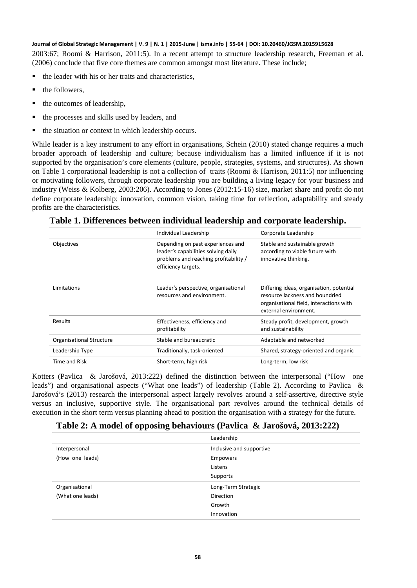2003:67; Roomi & Harrison, 2011:5). In a recent attempt to structure leadership research, Freeman et al. (2006) conclude that five core themes are common amongst most literature. These include;

- the leader with his or her traits and characteristics,
- the followers,
- $\blacksquare$  the outcomes of leadership,
- the processes and skills used by leaders, and
- the situation or context in which leadership occurs.

While leader is a key instrument to any effort in organisations, Schein (2010) stated change requires a much broader approach of leadership and culture; because individualism has a limited influence if it is not supported by the organisation's core elements (culture, people, strategies, systems, and structures). As shown on Table 1 corporational leadership is not a collection of traits (Roomi & Harrison, 2011:5) nor influencing or motivating followers, through corporate leadership you are building a living legacy for your business and industry (Weiss & Kolberg, 2003:206). According to Jones (2012:15-16) size, market share and profit do not define corporate leadership; innovation, common vision, taking time for reflection, adaptability and steady profits are the characteristics.

|                                 | Individual Leadership                                                                                                                    | Corporate Leadership                                                                                                                            |
|---------------------------------|------------------------------------------------------------------------------------------------------------------------------------------|-------------------------------------------------------------------------------------------------------------------------------------------------|
| <b>Objectives</b>               | Depending on past experiences and<br>leader's capabilities solving daily<br>problems and reaching profitability /<br>efficiency targets. | Stable and sustainable growth<br>according to viable future with<br>innovative thinking.                                                        |
| Limitations                     | Leader's perspective, organisational<br>resources and environment.                                                                       | Differing ideas, organisation, potential<br>resource lackness and boundried<br>organisational field, interactions with<br>external environment. |
| Results                         | Effectiveness, efficiency and<br>profitability                                                                                           | Steady profit, development, growth<br>and sustainability                                                                                        |
| <b>Organisational Structure</b> | Stable and bureaucratic                                                                                                                  | Adaptable and networked                                                                                                                         |
| Leadership Type                 | Traditionally, task-oriented                                                                                                             | Shared, strategy-oriented and organic                                                                                                           |
| Time and Risk                   | Short-term, high risk                                                                                                                    | Long-term, low risk                                                                                                                             |

**Table 1. Differences between individual leadership and corporate leadership.**

Kotters (Pavlica & Jarošová, 2013:222) defined the distinction between the interpersonal ("How one leads") and organisational aspects ("What one leads") of leadership (Table 2). According to Pavlica & Jarošová's (2013) research the interpersonal aspect largely revolves around a self-assertive, directive style versus an inclusive, supportive style. The organisational part revolves around the technical details of execution in the short term versus planning ahead to position the organisation with a strategy for the future.

| Table 2: A model of opposing behaviours (Pavlica & Jarošová, 2013:222) |  |  |
|------------------------------------------------------------------------|--|--|
|------------------------------------------------------------------------|--|--|

|                  | Leadership               |
|------------------|--------------------------|
| Interpersonal    | Inclusive and supportive |
| (How one leads)  | <b>Empowers</b>          |
|                  | Listens                  |
|                  | Supports                 |
| Organisational   | Long-Term Strategic      |
| (What one leads) | <b>Direction</b>         |
|                  | Growth                   |
|                  | Innovation               |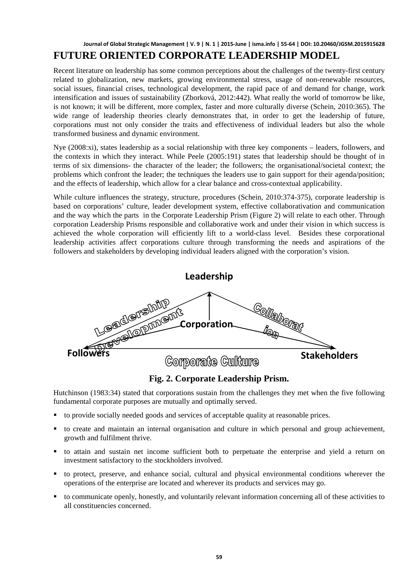### **Journal of Global Strategic Management | V. 9 | N. 1 | 2015-June | isma.info | 55-64 | DOI: 10.20460/JGSM.2015915628 FUTURE ORIENTED CORPORATE LEADERSHIP MODEL**

Recent literature on leadership has some common perceptions about the challenges of the twenty-first century related to globalization, new markets, growing environmental stress, usage of non-renewable resources, social issues, financial crises, technological development, the rapid pace of and demand for change, work intensification and issues of sustainability (Zborková, 2012:442). What really the world of tomorrow be like, is not known; it will be different, more complex, faster and more culturally diverse (Schein, 2010:365). The wide range of leadership theories clearly demonstrates that, in order to get the leadership of future, corporations must not only consider the traits and effectiveness of individual leaders but also the whole transformed business and dynamic environment.

Nye (2008:xi), states leadership as a social relationship with three key components – leaders, followers, and the contexts in which they interact. While Peele (2005:191) states that leadership should be thought of in terms of six dimensions- the character of the leader; the followers; the organisational/societal context; the problems which confront the leader; the techniques the leaders use to gain support for their agenda/position; and the effects of leadership, which allow for a clear balance and cross-contextual applicability.

While culture influences the strategy, structure, procedures (Schein, 2010:374-375), corporate leadership is based on corporations' culture, leader development system, effective collaborativation and communication and the way which the parts in the Corporate Leadership Prism (Figure 2) will relate to each other. Through corporation Leadership Prisms responsible and collaborative work and under their vision in which success is achieved the whole corporation will efficiently lift to a world-class level. Besides these corporational leadership activities affect corporations culture through transforming the needs and aspirations of the followers and stakeholders by developing individual leaders aligned with the corporation's vision.



**Fig. 2. Corporate Leadership Prism.**

Hutchinson (1983:34) stated that corporations sustain from the challenges they met when the five following fundamental corporate purposes are mutually and optimally served.

- to provide socially needed goods and services of acceptable quality at reasonable prices.
- to create and maintain an internal organisation and culture in which personal and group achievement, growth and fulfilment thrive.
- to attain and sustain net income sufficient both to perpetuate the enterprise and yield a return on investment satisfactory to the stockholders involved.
- to protect, preserve, and enhance social, cultural and physical environmental conditions wherever the operations of the enterprise are located and wherever its products and services may go.
- to communicate openly, honestly, and voluntarily relevant information concerning all of these activities to all constituencies concerned.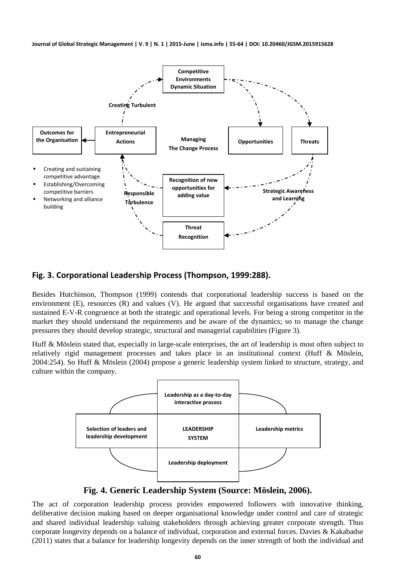

#### **Fig. 3. Corporational Leadership Process (Thompson, 1999:288).**

Besides Hutchinson, Thompson (1999) contends that corporational leadership success is based on the environment (E), resources (R) and values (V). He argued that successful organisations have created and sustained E-V-R congruence at both the strategic and operational levels. For being a strong competitor in the market they should understand the requirements and be aware of the dynamics; so to manage the change pressures they should develop strategic, structural and managerial capabilities (Figure 3).

Huff & Möslein stated that, especially in large-scale enterprises, the art of leadership is most often subject to relatively rigid management processes and takes place in an institutional context (Huff & Möslein, 2004:254). So Huff & Möslein (2004) propose a generic leadership system linked to structure, strategy, and culture within the company.



**Fig. 4. Generic Leadership System (Source: Möslein, 2006).**

The act of corporation leadership process provides empowered followers with innovative thinking, deliberative decision making based on deeper organisational knowledge under control and care of strategic and shared individual leadership valuing stakeholders through achieving greater corporate strength. Thus corporate longevity depends on a balance of individual, corporation and external forces. Davies & Kakabadse (2011) states that a balance for leadership longevity depends on the inner strength of both the individual and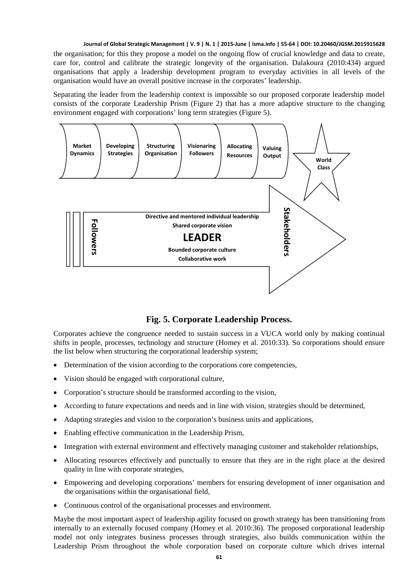the organisation; for this they propose a model on the ongoing flow of crucial knowledge and data to create, care for, control and calibrate the strategic longevity of the organisation. Dalakoura (2010:434) argued organisations that apply a leadership development program to everyday activities in all levels of the organisation would have an overall positive increase in the corporates' leadership.

Separating the leader from the leadership context is impossible so our proposed corporate leadership model consists of the corporate Leadership Prism (Figure 2) that has a more adaptive structure to the changing environment engaged with corporations' long term strategies (Figure 5).



### **Fig. 5. Corporate Leadership Process.**

Corporates achieve the congruence needed to sustain success in a VUCA world only by making continual shifts in people, processes, technology and structure (Homey et al. 2010:33). So corporations should ensure the list below when structuring the corporational leadership system;

- Determination of the vision according to the corporations core competencies,
- Vision should be engaged with corporational culture,
- Corporation's structure should be transformed according to the vision,
- According to future expectations and needs and in line with vision, strategies should be determined,
- Adapting strategies and vision to the corporation's business units and applications,
- Enabling effective communication in the Leadership Prism,
- Integration with external environment and effectively managing customer and stakeholder relationships,
- Allocating resources effectively and punctually to ensure that they are in the right place at the desired quality in line with corporate strategies,
- Empowering and developing corporations' members for ensuring development of inner organisation and the organisations within the organisational field,
- Continuous control of the organisational processes and environment.

Maybe the most important aspect of leadership agility focused on growth strategy has been transitioning from internally to an externally focused company (Homey et al. 2010:36). The proposed corporational leadership model not only integrates business processes through strategies, also builds communication within the Leadership Prism throughout the whole corporation based on corporate culture which drives internal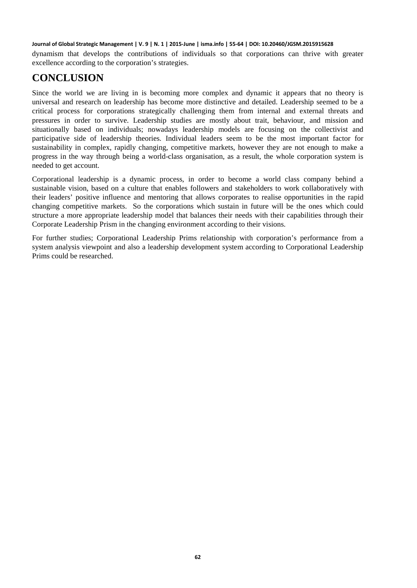dynamism that develops the contributions of individuals so that corporations can thrive with greater excellence according to the corporation's strategies.

# **CONCLUSION**

Since the world we are living in is becoming more complex and dynamic it appears that no theory is universal and research on leadership has become more distinctive and detailed. Leadership seemed to be a critical process for corporations strategically challenging them from internal and external threats and pressures in order to survive. Leadership studies are mostly about trait, behaviour, and mission and situationally based on individuals; nowadays leadership models are focusing on the collectivist and participative side of leadership theories. Individual leaders seem to be the most important factor for sustainability in complex, rapidly changing, competitive markets, however they are not enough to make a progress in the way through being a world-class organisation, as a result, the whole corporation system is needed to get account.

Corporational leadership is a dynamic process, in order to become a world class company behind a sustainable vision, based on a culture that enables followers and stakeholders to work collaboratively with their leaders' positive influence and mentoring that allows corporates to realise opportunities in the rapid changing competitive markets. So the corporations which sustain in future will be the ones which could structure a more appropriate leadership model that balances their needs with their capabilities through their Corporate Leadership Prism in the changing environment according to their visions.

For further studies; Corporational Leadership Prims relationship with corporation's performance from a system analysis viewpoint and also a leadership development system according to Corporational Leadership Prims could be researched.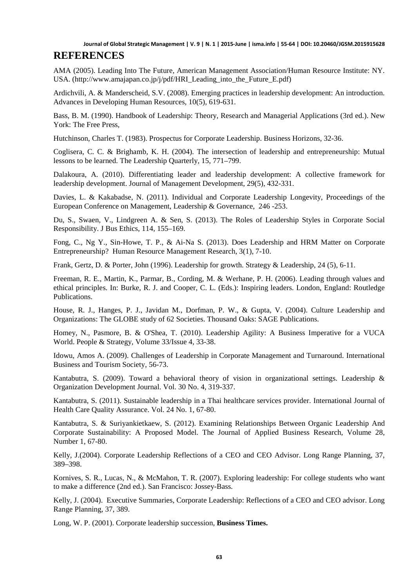AMA (2005). Leading Into The Future, American Management Association/Human Resource Institute: NY. USA. (http://www.amajapan.co.jp/j/pdf/HRI\_Leading\_into\_the\_Future\_E.pdf)

Ardichvili, A. & Manderscheid, S.V. (2008). Emerging practices in leadership development: An introduction. Advances in Developing Human Resources, 10(5), 619-631.

Bass, B. M. (1990). Handbook of Leadership: Theory, Research and Managerial Applications (3rd ed.). New York: The Free Press,

Hutchinson, Charles T. (1983). Prospectus for Corporate Leadership. Business Horizons, 32-36.

Coglisera, C. C. & Brighamb, K. H. (2004). The intersection of leadership and entrepreneurship: Mutual lessons to be learned. The Leadership Quarterly, 15, 771–799.

Dalakoura, A. (2010). Differentiating leader and leadership development: A collective framework for leadership development. Journal of Management Development, 29(5), 432-331.

Davies, L. & Kakabadse, N. (2011). Individual and Corporate Leadership Longevity, Proceedings of the European Conference on Management, Leadership & Governance, 246 -253.

Du, S., Swaen, V., Lindgreen A. & Sen, S. (2013). The Roles of Leadership Styles in Corporate Social Responsibility. J Bus Ethics, 114, 155–169.

Fong, C., Ng Y., Sin-Howe, T. P., & Ai-Na S. (2013). Does Leadership and HRM Matter on Corporate Entrepreneurship? Human Resource Management Research, 3(1), 7-10.

Frank, Gertz, D. & Porter, John (1996). Leadership for growth. Strategy & Leadership, 24 (5), 6-11.

Freeman, R. E., Martin, K., Parmar, B., Cording, M. & Werhane, P. H. (2006). Leading through values and ethical principles. In: Burke, R. J. and Cooper, C. L. (Eds.): Inspiring leaders. London, England: Routledge Publications.

House, R. J., Hanges, P. J., Javidan M., Dorfman, P. W., & Gupta, V. (2004). Culture Leadership and Organizations: The GLOBE study of 62 Societies. Thousand Oaks: SAGE Publications.

Homey, N., Pasmore, B. & O'Shea, T. (2010). Leadership Agility: A Business Imperative for a VUCA World. People & Strategy, Volume 33/Issue 4, 33-38.

Idowu, Amos A. (2009). Challenges of Leadership in Corporate Management and Turnaround. International Business and Tourism Society, 56-73.

Kantabutra, S. (2009). Toward a behavioral theory of vision in organizational settings. Leadership & Organization Development Journal. Vol. 30 No. 4, 319-337.

Kantabutra, S. (2011). Sustainable leadership in a Thai healthcare services provider. International Journal of Health Care Quality Assurance. Vol. 24 No. 1, 67-80.

Kantabutra, S. & Suriyankietkaew, S. (2012). Examining Relationships Between Organic Leadership And Corporate Sustainability: A Proposed Model. The Journal of Applied Business Research, Volume 28, Number 1, 67-80.

Kelly, J.(2004). Corporate Leadership Reflections of a CEO and CEO Advisor. Long Range Planning, 37, 389–398.

Kornives, S. R., Lucas, N., & McMahon, T. R. (2007). Exploring leadership: For college students who want to make a difference (2nd ed.). San Francisco: Jossey-Bass.

Kelly, J. (2004). Executive Summaries, Corporate Leadership: Reflections of a CEO and CEO advisor. Long Range Planning, 37, 389.

Long, W. P. (2001). Corporate leadership succession, **Business Times.**